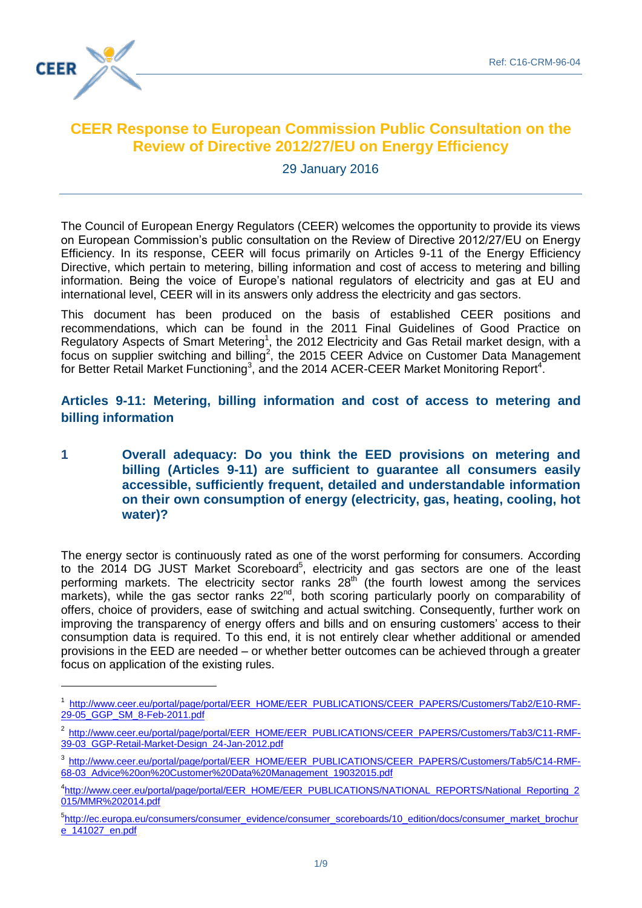

-

## **CEER Response to European Commission Public Consultation on the Review of Directive 2012/27/EU on Energy Efficiency**

29 January 2016

The Council of European Energy Regulators (CEER) welcomes the opportunity to provide its views on European Commission's public consultation on the Review of Directive 2012/27/EU on Energy Efficiency. In its response, CEER will focus primarily on Articles 9-11 of the Energy Efficiency Directive, which pertain to metering, billing information and cost of access to metering and billing information. Being the voice of Europe's national regulators of electricity and gas at EU and international level, CEER will in its answers only address the electricity and gas sectors.

This document has been produced on the basis of established CEER positions and recommendations, which can be found in the 2011 Final Guidelines of Good Practice on Regulatory Aspects of Smart Metering<sup>1</sup>, the 2012 Electricity and Gas Retail market design, with a focus on supplier switching and billing<sup>2</sup>, the 2015 CEER Advice on Customer Data Management for Better Retail Market Functioning<sup>3</sup>, and the 2014 ACER-CEER Market Monitoring Report<sup>4</sup>.

**Articles 9-11: Metering, billing information and cost of access to metering and billing information**

**1 Overall adequacy: Do you think the EED provisions on metering and billing (Articles 9-11) are sufficient to guarantee all consumers easily accessible, sufficiently frequent, detailed and understandable information on their own consumption of energy (electricity, gas, heating, cooling, hot water)?**

The energy sector is continuously rated as one of the worst performing for consumers. According to the 2014 DG JUST Market Scoreboard<sup>5</sup>, electricity and gas sectors are one of the least performing markets. The electricity sector ranks  $28<sup>th</sup>$  (the fourth lowest among the services markets), while the gas sector ranks 22<sup>nd</sup>, both scoring particularly poorly on comparability of offers, choice of providers, ease of switching and actual switching. Consequently, further work on improving the transparency of energy offers and bills and on ensuring customers' access to their consumption data is required. To this end, it is not entirely clear whether additional or amended provisions in the EED are needed – or whether better outcomes can be achieved through a greater focus on application of the existing rules.

<sup>&</sup>lt;sup>1</sup> [http://www.ceer.eu/portal/page/portal/EER\\_HOME/EER\\_PUBLICATIONS/CEER\\_PAPERS/Customers/Tab2/E10-RMF-](http://www.ceer.eu/portal/page/portal/EER_HOME/EER_PUBLICATIONS/CEER_PAPERS/Customers/Tab2/E10-RMF-29-05_GGP_SM_8-Feb-2011.pdf)[29-05\\_GGP\\_SM\\_8-Feb-2011.pdf](http://www.ceer.eu/portal/page/portal/EER_HOME/EER_PUBLICATIONS/CEER_PAPERS/Customers/Tab2/E10-RMF-29-05_GGP_SM_8-Feb-2011.pdf)

<sup>2</sup> [http://www.ceer.eu/portal/page/portal/EER\\_HOME/EER\\_PUBLICATIONS/CEER\\_PAPERS/Customers/Tab3/C11-RMF-](http://www.ceer.eu/portal/page/portal/EER_HOME/EER_PUBLICATIONS/CEER_PAPERS/Customers/Tab3/C11-RMF-39-03_GGP-Retail-Market-Design_24-Jan-2012.pdf)[39-03\\_GGP-Retail-Market-Design\\_24-Jan-2012.pdf](http://www.ceer.eu/portal/page/portal/EER_HOME/EER_PUBLICATIONS/CEER_PAPERS/Customers/Tab3/C11-RMF-39-03_GGP-Retail-Market-Design_24-Jan-2012.pdf)

<sup>3</sup> [http://www.ceer.eu/portal/page/portal/EER\\_HOME/EER\\_PUBLICATIONS/CEER\\_PAPERS/Customers/Tab5/C14-RMF-](http://www.ceer.eu/portal/page/portal/EER_HOME/EER_PUBLICATIONS/CEER_PAPERS/Customers/Tab5/C14-RMF-68-03_Advice%20on%20Customer%20Data%20Management_19032015.pdf)[68-03\\_Advice%20on%20Customer%20Data%20Management\\_19032015.pdf](http://www.ceer.eu/portal/page/portal/EER_HOME/EER_PUBLICATIONS/CEER_PAPERS/Customers/Tab5/C14-RMF-68-03_Advice%20on%20Customer%20Data%20Management_19032015.pdf)

<sup>4</sup> [http://www.ceer.eu/portal/page/portal/EER\\_HOME/EER\\_PUBLICATIONS/NATIONAL\\_REPORTS/National\\_Reporting\\_2](http://www.ceer.eu/portal/page/portal/EER_HOME/EER_PUBLICATIONS/NATIONAL_REPORTS/National_Reporting_2015/MMR%202014.pdf) [015/MMR%202014.pdf](http://www.ceer.eu/portal/page/portal/EER_HOME/EER_PUBLICATIONS/NATIONAL_REPORTS/National_Reporting_2015/MMR%202014.pdf)

<sup>&</sup>lt;sup>5</sup>[http://ec.europa.eu/consumers/consumer\\_evidence/consumer\\_scoreboards/10\\_edition/docs/consumer\\_market\\_brochur](http://ec.europa.eu/consumers/consumer_evidence/consumer_scoreboards/10_edition/docs/consumer_market_brochure_141027_en.pdf) [e\\_141027\\_en.pdf](http://ec.europa.eu/consumers/consumer_evidence/consumer_scoreboards/10_edition/docs/consumer_market_brochure_141027_en.pdf)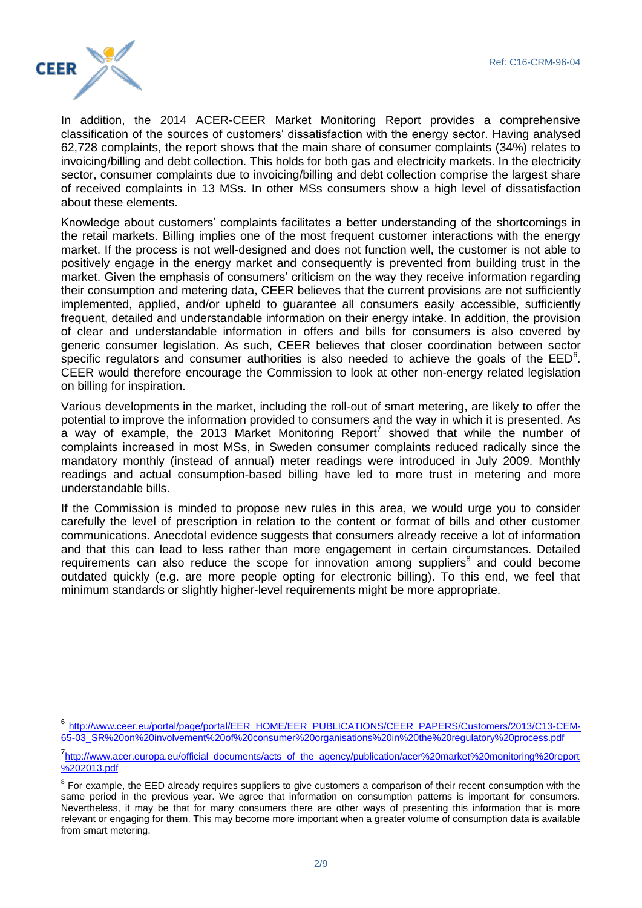

-

In addition, the 2014 ACER-CEER Market Monitoring Report provides a comprehensive classification of the sources of customers' dissatisfaction with the energy sector. Having analysed 62,728 complaints, the report shows that the main share of consumer complaints (34%) relates to invoicing/billing and debt collection. This holds for both gas and electricity markets. In the electricity sector, consumer complaints due to invoicing/billing and debt collection comprise the largest share of received complaints in 13 MSs. In other MSs consumers show a high level of dissatisfaction about these elements.

Knowledge about customers' complaints facilitates a better understanding of the shortcomings in the retail markets. Billing implies one of the most frequent customer interactions with the energy market. If the process is not well-designed and does not function well, the customer is not able to positively engage in the energy market and consequently is prevented from building trust in the market. Given the emphasis of consumers' criticism on the way they receive information regarding their consumption and metering data, CEER believes that the current provisions are not sufficiently implemented, applied, and/or upheld to guarantee all consumers easily accessible, sufficiently frequent, detailed and understandable information on their energy intake. In addition, the provision of clear and understandable information in offers and bills for consumers is also covered by generic consumer legislation. As such, CEER believes that closer coordination between sector specific regulators and consumer authorities is also needed to achieve the goals of the  $EED<sup>6</sup>$ . CEER would therefore encourage the Commission to look at other non-energy related legislation on billing for inspiration.

Various developments in the market, including the roll-out of smart metering, are likely to offer the potential to improve the information provided to consumers and the way in which it is presented. As a way of example, the 2013 Market Monitoring Report<sup>7</sup> showed that while the number of complaints increased in most MSs, in Sweden consumer complaints reduced radically since the mandatory monthly (instead of annual) meter readings were introduced in July 2009. Monthly readings and actual consumption-based billing have led to more trust in metering and more understandable bills.

If the Commission is minded to propose new rules in this area, we would urge you to consider carefully the level of prescription in relation to the content or format of bills and other customer communications. Anecdotal evidence suggests that consumers already receive a lot of information and that this can lead to less rather than more engagement in certain circumstances. Detailed requirements can also reduce the scope for innovation among suppliers<sup>8</sup> and could become outdated quickly (e.g. are more people opting for electronic billing). To this end, we feel that minimum standards or slightly higher-level requirements might be more appropriate.

<sup>6</sup> [http://www.ceer.eu/portal/page/portal/EER\\_HOME/EER\\_PUBLICATIONS/CEER\\_PAPERS/Customers/2013/C13-CEM-](http://www.ceer.eu/portal/page/portal/EER_HOME/EER_PUBLICATIONS/CEER_PAPERS/Customers/2013/C13-CEM-65-03_SR%20on%20involvement%20of%20consumer%20organisations%20in%20the%20regulatory%20process.pdf)[65-03\\_SR%20on%20involvement%20of%20consumer%20organisations%20in%20the%20regulatory%20process.pdf](http://www.ceer.eu/portal/page/portal/EER_HOME/EER_PUBLICATIONS/CEER_PAPERS/Customers/2013/C13-CEM-65-03_SR%20on%20involvement%20of%20consumer%20organisations%20in%20the%20regulatory%20process.pdf)

<sup>&</sup>lt;sup>7</sup>[http://www.acer.europa.eu/official\\_documents/acts\\_of\\_the\\_agency/publication/acer%20market%20monitoring%20report](http://www.acer.europa.eu/official_documents/acts_of_the_agency/publication/acer%20market%20monitoring%20report%202013.pdf) [%202013.pdf](http://www.acer.europa.eu/official_documents/acts_of_the_agency/publication/acer%20market%20monitoring%20report%202013.pdf)

<sup>&</sup>lt;sup>8</sup> For example, the EED already requires suppliers to give customers a comparison of their recent consumption with the same period in the previous year. We agree that information on consumption patterns is important for consumers. Nevertheless, it may be that for many consumers there are other ways of presenting this information that is more relevant or engaging for them. This may become more important when a greater volume of consumption data is available from smart metering.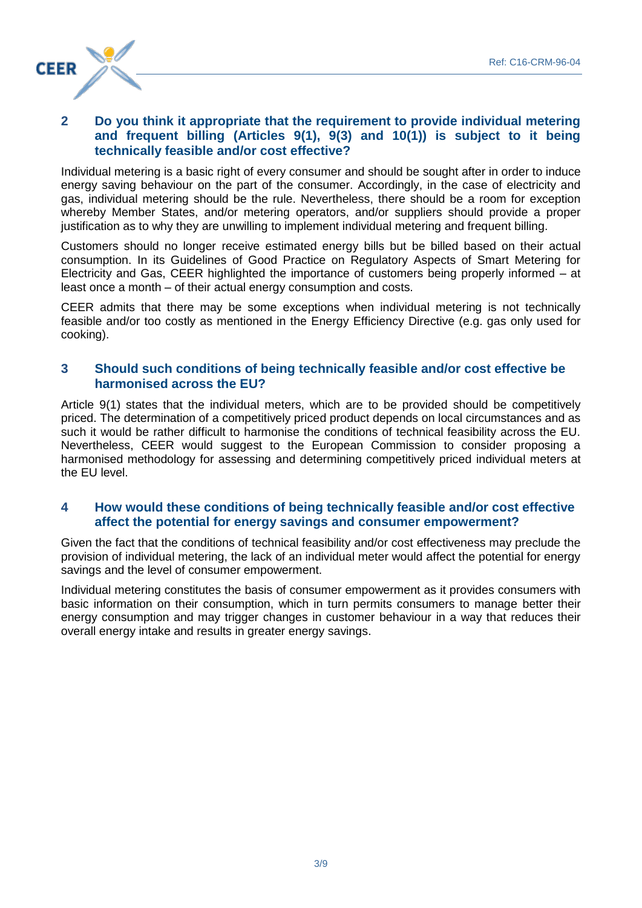

## **2 Do you think it appropriate that the requirement to provide individual metering and frequent billing (Articles 9(1), 9(3) and 10(1)) is subject to it being technically feasible and/or cost effective?**

Individual metering is a basic right of every consumer and should be sought after in order to induce energy saving behaviour on the part of the consumer. Accordingly, in the case of electricity and gas, individual metering should be the rule. Nevertheless, there should be a room for exception whereby Member States, and/or metering operators, and/or suppliers should provide a proper justification as to why they are unwilling to implement individual metering and frequent billing.

Customers should no longer receive estimated energy bills but be billed based on their actual consumption. In its Guidelines of Good Practice on Regulatory Aspects of Smart Metering for Electricity and Gas, CEER highlighted the importance of customers being properly informed – at least once a month – of their actual energy consumption and costs.

CEER admits that there may be some exceptions when individual metering is not technically feasible and/or too costly as mentioned in the Energy Efficiency Directive (e.g. gas only used for cooking).

## **3 Should such conditions of being technically feasible and/or cost effective be harmonised across the EU?**

Article 9(1) states that the individual meters, which are to be provided should be competitively priced. The determination of a competitively priced product depends on local circumstances and as such it would be rather difficult to harmonise the conditions of technical feasibility across the EU. Nevertheless, CEER would suggest to the European Commission to consider proposing a harmonised methodology for assessing and determining competitively priced individual meters at the EU level.

## **4 How would these conditions of being technically feasible and/or cost effective affect the potential for energy savings and consumer empowerment?**

Given the fact that the conditions of technical feasibility and/or cost effectiveness may preclude the provision of individual metering, the lack of an individual meter would affect the potential for energy savings and the level of consumer empowerment.

Individual metering constitutes the basis of consumer empowerment as it provides consumers with basic information on their consumption, which in turn permits consumers to manage better their energy consumption and may trigger changes in customer behaviour in a way that reduces their overall energy intake and results in greater energy savings.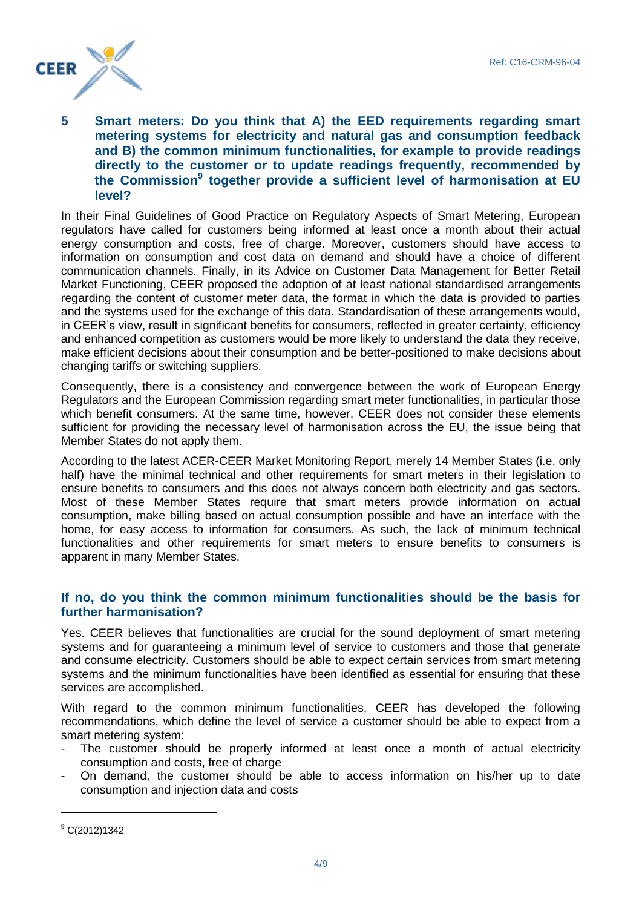# **CEER**

## **5 Smart meters: Do you think that A) the EED requirements regarding smart metering systems for electricity and natural gas and consumption feedback and B) the common minimum functionalities, for example to provide readings directly to the customer or to update readings frequently, recommended by the Commission<sup>9</sup> together provide a sufficient level of harmonisation at EU level?**

In their Final Guidelines of Good Practice on Regulatory Aspects of Smart Metering, European regulators have called for customers being informed at least once a month about their actual energy consumption and costs, free of charge. Moreover, customers should have access to information on consumption and cost data on demand and should have a choice of different communication channels. Finally, in its Advice on Customer Data Management for Better Retail Market Functioning, CEER proposed the adoption of at least national standardised arrangements regarding the content of customer meter data, the format in which the data is provided to parties and the systems used for the exchange of this data. Standardisation of these arrangements would, in CEER's view, result in significant benefits for consumers, reflected in greater certainty, efficiency and enhanced competition as customers would be more likely to understand the data they receive, make efficient decisions about their consumption and be better-positioned to make decisions about changing tariffs or switching suppliers.

Consequently, there is a consistency and convergence between the work of European Energy Regulators and the European Commission regarding smart meter functionalities, in particular those which benefit consumers. At the same time, however, CEER does not consider these elements sufficient for providing the necessary level of harmonisation across the EU, the issue being that Member States do not apply them.

According to the latest ACER-CEER Market Monitoring Report, merely 14 Member States (i.e. only half) have the minimal technical and other requirements for smart meters in their legislation to ensure benefits to consumers and this does not always concern both electricity and gas sectors. Most of these Member States require that smart meters provide information on actual consumption, make billing based on actual consumption possible and have an interface with the home, for easy access to information for consumers. As such, the lack of minimum technical functionalities and other requirements for smart meters to ensure benefits to consumers is apparent in many Member States.

## **If no, do you think the common minimum functionalities should be the basis for further harmonisation?**

Yes. CEER believes that functionalities are crucial for the sound deployment of smart metering systems and for guaranteeing a minimum level of service to customers and those that generate and consume electricity. Customers should be able to expect certain services from smart metering systems and the minimum functionalities have been identified as essential for ensuring that these services are accomplished.

With regard to the common minimum functionalities, CEER has developed the following recommendations, which define the level of service a customer should be able to expect from a smart metering system:

- The customer should be properly informed at least once a month of actual electricity consumption and costs, free of charge
- On demand, the customer should be able to access information on his/her up to date consumption and injection data and costs

-

 $9$  C(2012)1342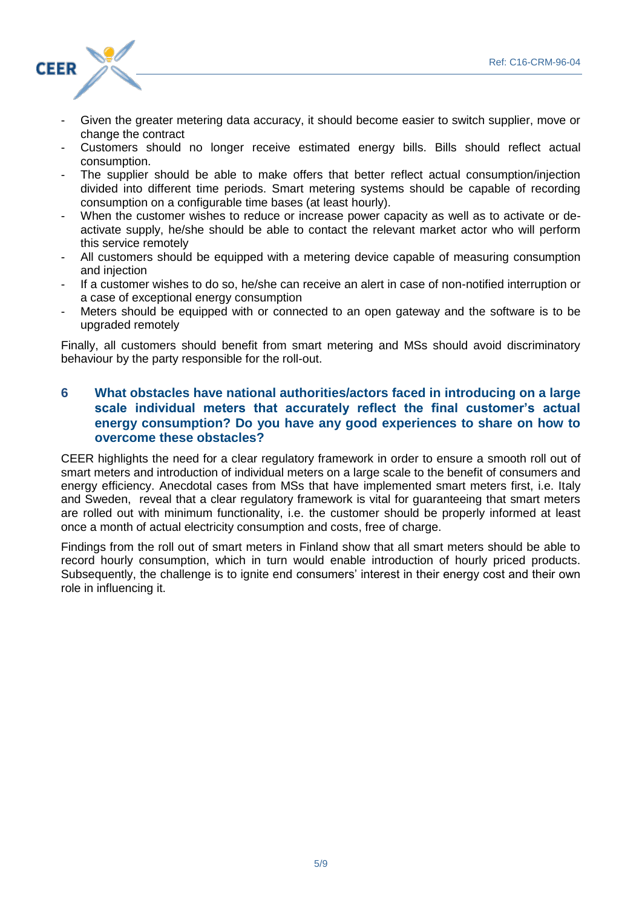

- Given the greater metering data accuracy, it should become easier to switch supplier, move or change the contract
- Customers should no longer receive estimated energy bills. Bills should reflect actual consumption.
- The supplier should be able to make offers that better reflect actual consumption/injection divided into different time periods. Smart metering systems should be capable of recording consumption on a configurable time bases (at least hourly).
- When the customer wishes to reduce or increase power capacity as well as to activate or deactivate supply, he/she should be able to contact the relevant market actor who will perform this service remotely
- All customers should be equipped with a metering device capable of measuring consumption and injection
- If a customer wishes to do so, he/she can receive an alert in case of non-notified interruption or a case of exceptional energy consumption
- Meters should be equipped with or connected to an open gateway and the software is to be upgraded remotely

Finally, all customers should benefit from smart metering and MSs should avoid discriminatory behaviour by the party responsible for the roll-out.

## **6 What obstacles have national authorities/actors faced in introducing on a large scale individual meters that accurately reflect the final customer's actual energy consumption? Do you have any good experiences to share on how to overcome these obstacles?**

CEER highlights the need for a clear regulatory framework in order to ensure a smooth roll out of smart meters and introduction of individual meters on a large scale to the benefit of consumers and energy efficiency. Anecdotal cases from MSs that have implemented smart meters first, i.e. Italy and Sweden, reveal that a clear regulatory framework is vital for guaranteeing that smart meters are rolled out with minimum functionality, i.e. the customer should be properly informed at least once a month of actual electricity consumption and costs, free of charge.

Findings from the roll out of smart meters in Finland show that all smart meters should be able to record hourly consumption, which in turn would enable introduction of hourly priced products. Subsequently, the challenge is to ignite end consumers' interest in their energy cost and their own role in influencing it.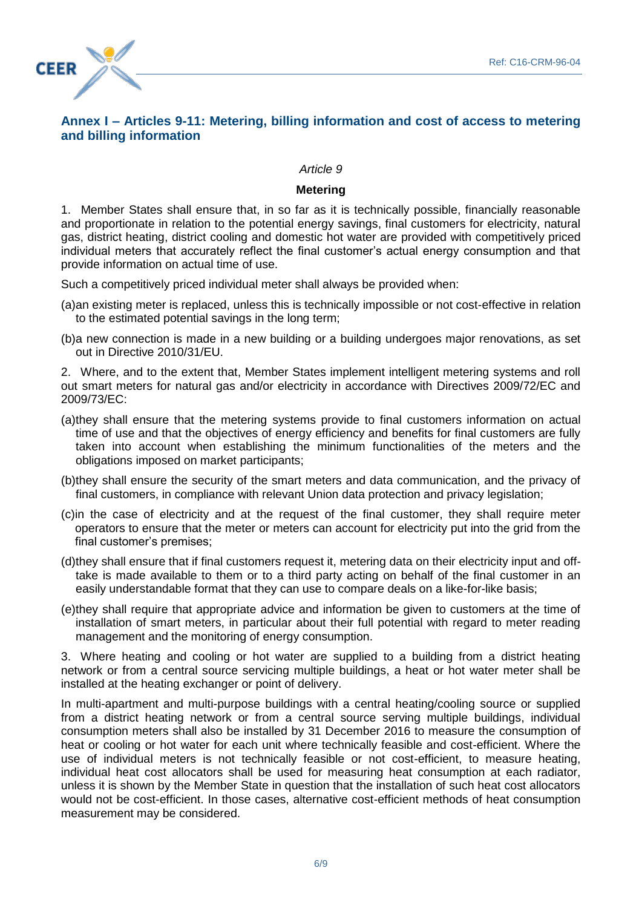

## **Annex I – Articles 9-11: Metering, billing information and cost of access to metering and billing information**

#### *Article 9*

#### **Metering**

1. Member States shall ensure that, in so far as it is technically possible, financially reasonable and proportionate in relation to the potential energy savings, final customers for electricity, natural gas, district heating, district cooling and domestic hot water are provided with competitively priced individual meters that accurately reflect the final customer's actual energy consumption and that provide information on actual time of use.

Such a competitively priced individual meter shall always be provided when:

- (a)an existing meter is replaced, unless this is technically impossible or not cost-effective in relation to the estimated potential savings in the long term;
- (b)a new connection is made in a new building or a building undergoes major renovations, as set out in Directive 2010/31/EU.

2. Where, and to the extent that, Member States implement intelligent metering systems and roll out smart meters for natural gas and/or electricity in accordance with Directives 2009/72/EC and 2009/73/EC:

- (a)they shall ensure that the metering systems provide to final customers information on actual time of use and that the objectives of energy efficiency and benefits for final customers are fully taken into account when establishing the minimum functionalities of the meters and the obligations imposed on market participants;
- (b)they shall ensure the security of the smart meters and data communication, and the privacy of final customers, in compliance with relevant Union data protection and privacy legislation;
- (c)in the case of electricity and at the request of the final customer, they shall require meter operators to ensure that the meter or meters can account for electricity put into the grid from the final customer's premises;
- (d)they shall ensure that if final customers request it, metering data on their electricity input and offtake is made available to them or to a third party acting on behalf of the final customer in an easily understandable format that they can use to compare deals on a like-for-like basis;
- (e)they shall require that appropriate advice and information be given to customers at the time of installation of smart meters, in particular about their full potential with regard to meter reading management and the monitoring of energy consumption.

3. Where heating and cooling or hot water are supplied to a building from a district heating network or from a central source servicing multiple buildings, a heat or hot water meter shall be installed at the heating exchanger or point of delivery.

In multi-apartment and multi-purpose buildings with a central heating/cooling source or supplied from a district heating network or from a central source serving multiple buildings, individual consumption meters shall also be installed by 31 December 2016 to measure the consumption of heat or cooling or hot water for each unit where technically feasible and cost-efficient. Where the use of individual meters is not technically feasible or not cost-efficient, to measure heating, individual heat cost allocators shall be used for measuring heat consumption at each radiator, unless it is shown by the Member State in question that the installation of such heat cost allocators would not be cost-efficient. In those cases, alternative cost-efficient methods of heat consumption measurement may be considered.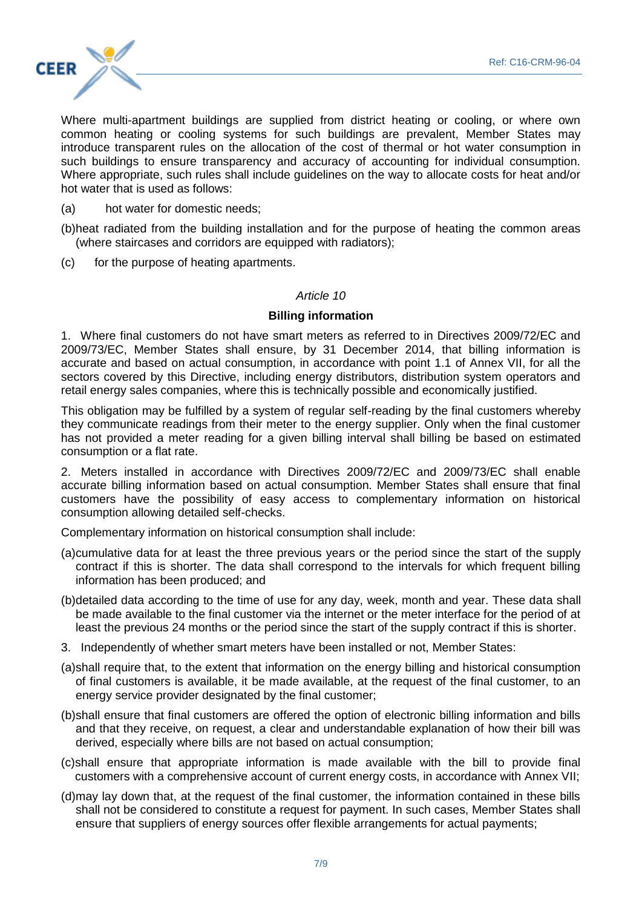

Where multi-apartment buildings are supplied from district heating or cooling, or where own common heating or cooling systems for such buildings are prevalent, Member States may introduce transparent rules on the allocation of the cost of thermal or hot water consumption in such buildings to ensure transparency and accuracy of accounting for individual consumption. Where appropriate, such rules shall include guidelines on the way to allocate costs for heat and/or hot water that is used as follows:

(a) hot water for domestic needs;

(b)heat radiated from the building installation and for the purpose of heating the common areas (where staircases and corridors are equipped with radiators);

(c) for the purpose of heating apartments.

#### *Article 10*

#### **Billing information**

1. Where final customers do not have smart meters as referred to in Directives 2009/72/EC and 2009/73/EC, Member States shall ensure, by 31 December 2014, that billing information is accurate and based on actual consumption, in accordance with point 1.1 of Annex VII, for all the sectors covered by this Directive, including energy distributors, distribution system operators and retail energy sales companies, where this is technically possible and economically justified.

This obligation may be fulfilled by a system of regular self-reading by the final customers whereby they communicate readings from their meter to the energy supplier. Only when the final customer has not provided a meter reading for a given billing interval shall billing be based on estimated consumption or a flat rate.

2. Meters installed in accordance with Directives 2009/72/EC and 2009/73/EC shall enable accurate billing information based on actual consumption. Member States shall ensure that final customers have the possibility of easy access to complementary information on historical consumption allowing detailed self-checks.

Complementary information on historical consumption shall include:

- (a)cumulative data for at least the three previous years or the period since the start of the supply contract if this is shorter. The data shall correspond to the intervals for which frequent billing information has been produced; and
- (b)detailed data according to the time of use for any day, week, month and year. These data shall be made available to the final customer via the internet or the meter interface for the period of at least the previous 24 months or the period since the start of the supply contract if this is shorter.
- 3. Independently of whether smart meters have been installed or not, Member States:
- (a)shall require that, to the extent that information on the energy billing and historical consumption of final customers is available, it be made available, at the request of the final customer, to an energy service provider designated by the final customer;
- (b)shall ensure that final customers are offered the option of electronic billing information and bills and that they receive, on request, a clear and understandable explanation of how their bill was derived, especially where bills are not based on actual consumption;
- (c)shall ensure that appropriate information is made available with the bill to provide final customers with a comprehensive account of current energy costs, in accordance with Annex VII;
- (d)may lay down that, at the request of the final customer, the information contained in these bills shall not be considered to constitute a request for payment. In such cases, Member States shall ensure that suppliers of energy sources offer flexible arrangements for actual payments;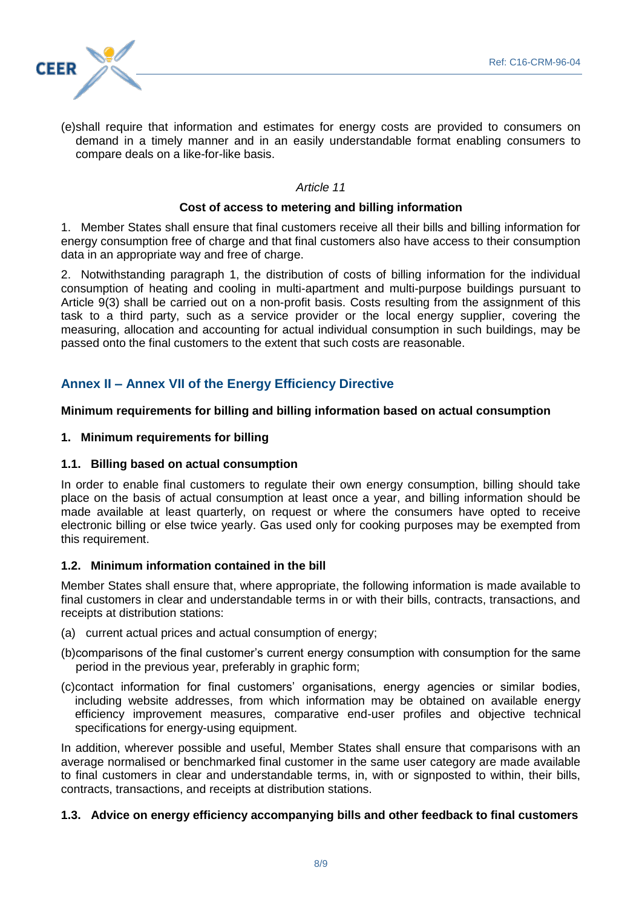

(e)shall require that information and estimates for energy costs are provided to consumers on demand in a timely manner and in an easily understandable format enabling consumers to compare deals on a like-for-like basis.

#### *Article 11*

#### **Cost of access to metering and billing information**

1. Member States shall ensure that final customers receive all their bills and billing information for energy consumption free of charge and that final customers also have access to their consumption data in an appropriate way and free of charge.

2. Notwithstanding paragraph 1, the distribution of costs of billing information for the individual consumption of heating and cooling in multi-apartment and multi-purpose buildings pursuant to Article 9(3) shall be carried out on a non-profit basis. Costs resulting from the assignment of this task to a third party, such as a service provider or the local energy supplier, covering the measuring, allocation and accounting for actual individual consumption in such buildings, may be passed onto the final customers to the extent that such costs are reasonable.

## **Annex II – Annex VII of the Energy Efficiency Directive**

#### **Minimum requirements for billing and billing information based on actual consumption**

### **1. Minimum requirements for billing**

#### **1.1. Billing based on actual consumption**

In order to enable final customers to regulate their own energy consumption, billing should take place on the basis of actual consumption at least once a year, and billing information should be made available at least quarterly, on request or where the consumers have opted to receive electronic billing or else twice yearly. Gas used only for cooking purposes may be exempted from this requirement.

#### **1.2. Minimum information contained in the bill**

Member States shall ensure that, where appropriate, the following information is made available to final customers in clear and understandable terms in or with their bills, contracts, transactions, and receipts at distribution stations:

- (a) current actual prices and actual consumption of energy;
- (b)comparisons of the final customer's current energy consumption with consumption for the same period in the previous year, preferably in graphic form;
- (c)contact information for final customers' organisations, energy agencies or similar bodies, including website addresses, from which information may be obtained on available energy efficiency improvement measures, comparative end-user profiles and objective technical specifications for energy-using equipment.

In addition, wherever possible and useful, Member States shall ensure that comparisons with an average normalised or benchmarked final customer in the same user category are made available to final customers in clear and understandable terms, in, with or signposted to within, their bills, contracts, transactions, and receipts at distribution stations.

#### **1.3. Advice on energy efficiency accompanying bills and other feedback to final customers**